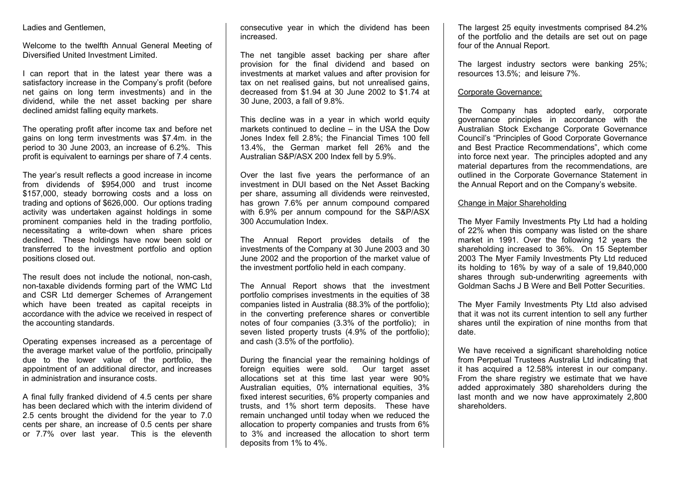Ladies and Gentlemen,

Welcome to the twelfth Annual General Meeting of Diversified United Investment Limited.

I can report that in the latest year there was a satisfactory increase in the Company's profit (before net gains on long term investments) and in the dividend, while the net asset backing per share declined amidst falling equity markets.

The operating profit after income tax and before net gains on long term investments was \$7.4m. in the period to 30 June 2003, an increase of 6.2%. This profit is equivalent to earnings per share of 7.4 cents.

The year's result reflects a good increase in income from dividends of \$954,000 and trust income \$157,000, steady borrowing costs and a loss on trading and options of \$626,000. Our options trading activity was undertaken against holdings in some prominent companies held in the trading portfolio, necessitating a write-down when share prices declined. These holdings have now been sold or transferred to the investment portfolio and option positions closed out.

The result does not include the notional, non-cash, non-taxable dividends forming part of the WMC Ltd and CSR Ltd demerger Schemes of Arrangement which have been treated as capital receipts in accordance with the advice we received in respect of the accounting standards.

Operating expenses increased as a percentage of the average market value of the portfolio, principally due to the lower value of the portfolio, the appointment of an additional director, and increases in administration and insurance costs.

A final fully franked dividend of 4.5 cents per share has been declared which with the interim dividend of 2.5 cents brought the dividend for the year to 7.0 cents per share, an increase of 0.5 cents per share or 7.7% over last year. This is the eleventh

consecutive year in which the dividend has been increased.

The net tangible asset backing per share after provision for the final dividend and based on investments at market values and after provision for tax on net realised gains, but not unrealised gains, decreased from \$1.94 at 30 June 2002 to \$1.74 at 30 June, 2003, a fall of 9.8%.

This decline was in a year in which world equity markets continued to decline – in the USA the Dow Jones Index fell 2.8%; the Financial Times 100 fell 13.4%, the German market fell 26% and the Australian S&P/ASX 200 Index fell by 5.9%.

Over the last five years the performance of an investment in DUI based on the Net Asset Backing per share, assuming all dividends were reinvested, has grown 7.6% per annum compound compared with 6.9% per annum compound for the S&P/ASX 300 Accumulation Index.

The Annual Report provides details of the investments of the Company at 30 June 2003 and 30 June 2002 and the proportion of the market value of the investment portfolio held in each company.

The Annual Report shows that the investment portfolio comprises investments in the equities of 38 companies listed in Australia (88.3% of the portfolio); in the converting preference shares or convertible notes of four companies (3.3% of the portfolio); in seven listed property trusts (4.9% of the portfolio); and cash (3.5% of the portfolio).

During the financial year the remaining holdings of foreign equities were sold. Our target asset allocations set at this time last year were 90% Australian equities, 0% international equities, 3% fixed interest securities, 6% property companies and trusts, and 1% short term deposits. These have remain unchanged until today when we reduced the allocation to property companies and trusts from 6% to 3% and increased the allocation to short term deposits from 1% to 4%.

The largest 25 equity investments comprised 84.2% of the portfolio and the details are set out on page four of the Annual Report.

The largest industry sectors were banking 25%; resources 13.5%; and leisure 7%.

#### Corporate Governance:

The Company has adopted early, corporate governance principles in accordance with the Australian Stock Exchange Corporate Governance Council's "Principles of Good Corporate Governance and Best Practice Recommendations", which come into force next year. The principles adopted and any material departures from the recommendations, are outlined in the Corporate Governance Statement in the Annual Report and on the Company's website.

### Change in Major Shareholding

The Myer Family Investments Pty Ltd had a holding of 22% when this company was listed on the share market in 1991. Over the following 12 years the shareholding increased to 36%. On 15 September 2003 The Myer Family Investments Pty Ltd reduced its holding to 16% by way of a sale of 19,840,000 shares through sub-underwriting agreements with Goldman Sachs J B Were and Bell Potter Securities.

The Myer Family Investments Pty Ltd also advised that it was not its current intention to sell any further shares until the expiration of nine months from that date.

We have received a significant shareholding notice from Perpetual Trustees Australia Ltd indicating that it has acquired a 12.58% interest in our company. From the share registry we estimate that we have added approximately 380 shareholders during the last month and we now have approximately 2,800 shareholders.